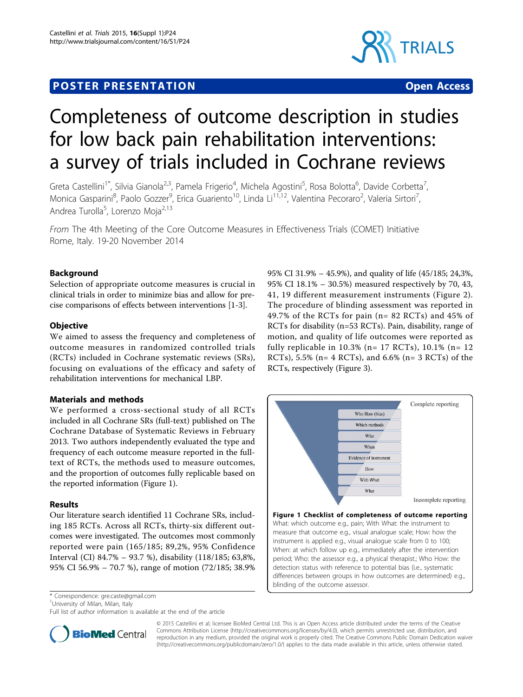## **POSTER PRESENTATION CONSUMING THE SERVICE SERVICE SERVICE SERVICES**



# Completeness of outcome description in studies for low back pain rehabilitation interventions: a survey of trials included in Cochrane reviews

Greta Castellini<sup>1\*</sup>, Silvia Gianola<sup>2,3</sup>, Pamela Frigerio<sup>4</sup>, Michela Agostini<sup>5</sup>, Rosa Bolotta<sup>6</sup>, Davide Corbetta<sup>7</sup> , Monica Gasparini<sup>8</sup>, Paolo Gozzer<sup>9</sup>, Erica Guariento<sup>10</sup>, Linda Li<sup>11,12</sup>, Valentina Pecoraro<sup>2</sup>, Valeria Sirtori<sup>7</sup> , Andrea Turolla<sup>5</sup>, Lorenzo Moja<sup>2,13</sup>

From The 4th Meeting of the Core Outcome Measures in Effectiveness Trials (COMET) Initiative Rome, Italy. 19-20 November 2014

## Background

Selection of appropriate outcome measures is crucial in clinical trials in order to minimize bias and allow for precise comparisons of effects between interventions [\[1](#page-1-0)-[3](#page-1-0)].

## **Objective**

We aimed to assess the frequency and completeness of outcome measures in randomized controlled trials (RCTs) included in Cochrane systematic reviews (SRs), focusing on evaluations of the efficacy and safety of rehabilitation interventions for mechanical LBP.

### Materials and methods

We performed a cross-sectional study of all RCTs included in all Cochrane SRs (full-text) published on The Cochrane Database of Systematic Reviews in February 2013. Two authors independently evaluated the type and frequency of each outcome measure reported in the fulltext of RCTs, the methods used to measure outcomes, and the proportion of outcomes fully replicable based on the reported information (Figure 1).

### Results

Our literature search identified 11 Cochrane SRs, including 185 RCTs. Across all RCTs, thirty-six different outcomes were investigated. The outcomes most commonly reported were pain (165/185; 89,2%, 95% Confidence Interval (CI) 84.7% – 93.7 %), disability (118/185; 63,8%, 95% CI 56.9% – 70.7 %), range of motion (72/185; 38.9%

\* Correspondence: [gre.caste@gmail.com](mailto:gre.caste@gmail.com)

<sup>1</sup>University of Milan, Milan, Italy

Full list of author information is available at the end of the article

95% CI 31.9% – 45.9%), and quality of life (45/185; 24,3%, 95% CI 18.1% – 30.5%) measured respectively by 70, 43, 41, 19 different measurement instruments (Figure [2\)](#page-1-0). The procedure of blinding assessment was reported in 49.7% of the RCTs for pain (n= 82 RCTs) and 45% of RCTs for disability (n=53 RCTs). Pain, disability, range of motion, and quality of life outcomes were reported as fully replicable in  $10.3\%$  (n= 17 RCTs), 10.1% (n= 12 RCTs), 5.5% ( $n=4$  RCTs), and 6.6% ( $n=3$  RCTs) of the RCTs, respectively (Figure [3\)](#page-1-0).



measure that outcome e.g., visual analogue scale; How: how the instrument is applied e.g., visual analogue scale from 0 to 100; When: at which follow up e.g., immediately after the intervention period; Who: the assessor e.g., a physical therapist.; Who How: the detection status with reference to potential bias (i.e., systematic differences between groups in how outcomes are determined) e.g., blinding of the outcome assessor.



© 2015 Castellini et al; licensee BioMed Central Ltd. This is an Open Access article distributed under the terms of the Creative Commons Attribution License [\(http://creativecommons.org/licenses/by/4.0](http://creativecommons.org/licenses/by/4.0)), which permits unrestricted use, distribution, and reproduction in any medium, provided the original work is properly cited. The Creative Commons Public Domain Dedication waiver [\(http://creativecommons.org/publicdomain/zero/1.0/](http://creativecommons.org/publicdomain/zero/1.0/)) applies to the data made available in this article, unless otherwise stated.